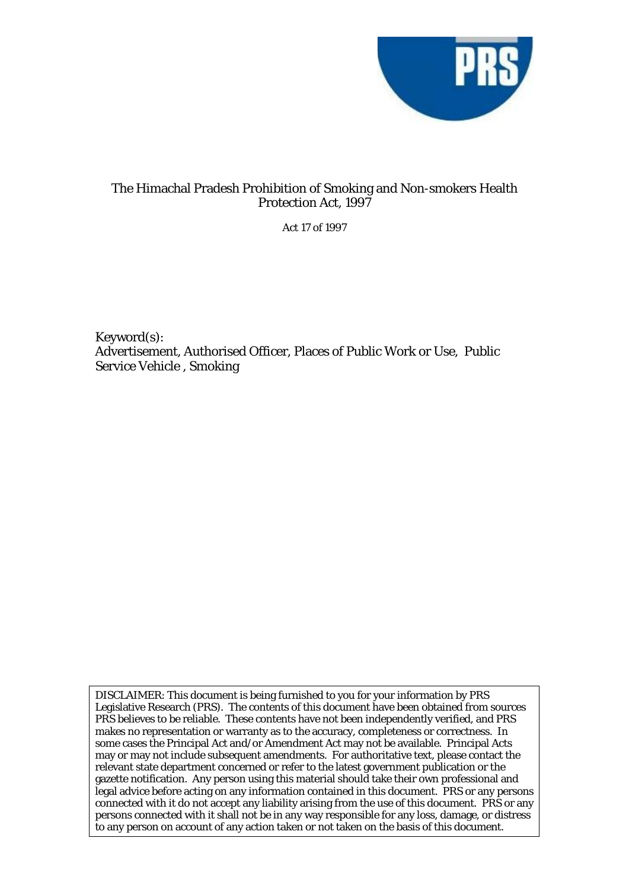

## The Himachal Pradesh Prohibition of Smoking and Non-smokers Health Protection Act, 1997

Act 17 of 1997

Keyword(s): Advertisement, Authorised Officer, Places of Public Work or Use, Public Service Vehicle , Smoking

DISCLAIMER: This document is being furnished to you for your information by PRS Legislative Research (PRS). The contents of this document have been obtained from sources PRS believes to be reliable. These contents have not been independently verified, and PRS makes no representation or warranty as to the accuracy, completeness or correctness. In some cases the Principal Act and/or Amendment Act may not be available. Principal Acts may or may not include subsequent amendments. For authoritative text, please contact the relevant state department concerned or refer to the latest government publication or the gazette notification. Any person using this material should take their own professional and legal advice before acting on any information contained in this document. PRS or any persons connected with it do not accept any liability arising from the use of this document. PRS or any persons connected with it shall not be in any way responsible for any loss, damage, or distress to any person on account of any action taken or not taken on the basis of this document.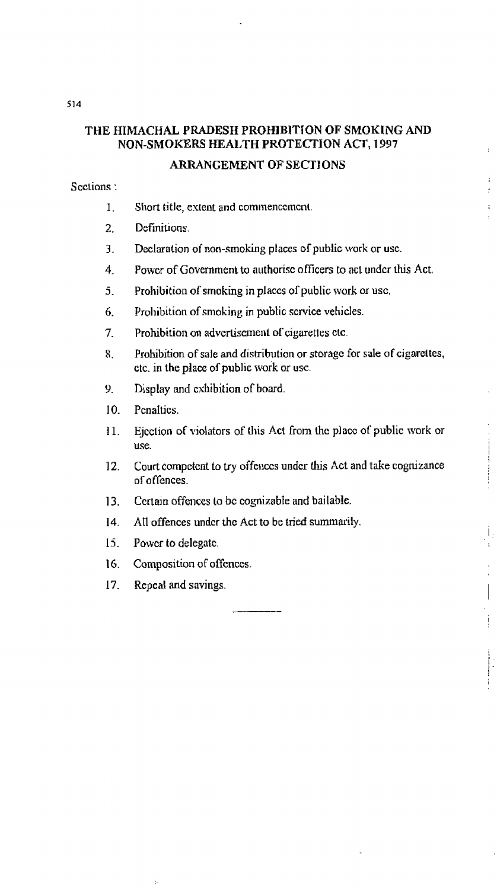# **THE HIMACHAL PRADESB PROHIBlTlON OF SMOKING AND NON-SMOKERS HEALTH PROTECTION ACT, 1997**

## **ARRANGEMENT OF SECTIONS**

**S cctions** :

- 1. Short **title,** extent **and** commenccrncnt
- 2. Defmitions.
- 3. Declaration of non-smoking places of public work or use.
- $\overline{4}$ . Power of Government to authorisc officers to act under this Act.
- 5. Prohibition of smoking in places of public work or use.
- 6. Prohibition of smoking in public scrvice vehicles.
- $7.$ **Prohibition on advcrtiscmcnt** of **cigarettes ctc**
- Prohibition **of sale** and distribution or storagc for **sale of cigarettes,**   $8<sub>1</sub>$ etc. in **the place** of **public work** or **usc.**
- $9<sub>1</sub>$ **Display and exhibition of board.**
- $10<sup>1</sup>$ PcnaItics.
- Ejcclion **of** violators of **Ulis Act** from thc **placc** of **public work** or  $11.$ **use.**
- Court competent to try offenccs under hs **Act and take** cognizmce  $12<sup>7</sup>$ **of** offences.

 $\frac{1}{2}$ 

Ť.

 $\overline{\phantom{a}}$ 

ţ

- $13.$ Ccrtain **offences** to bc **cognizable** and **bailable.**
- $14.$ All offences under the Act to be tried summarily.
- $15.$ **Powcr to delegate.**
- Composition of offences. 16.
- 17. **Rcpcal and savings.**

 $\boldsymbol{\gamma}_i$ 

514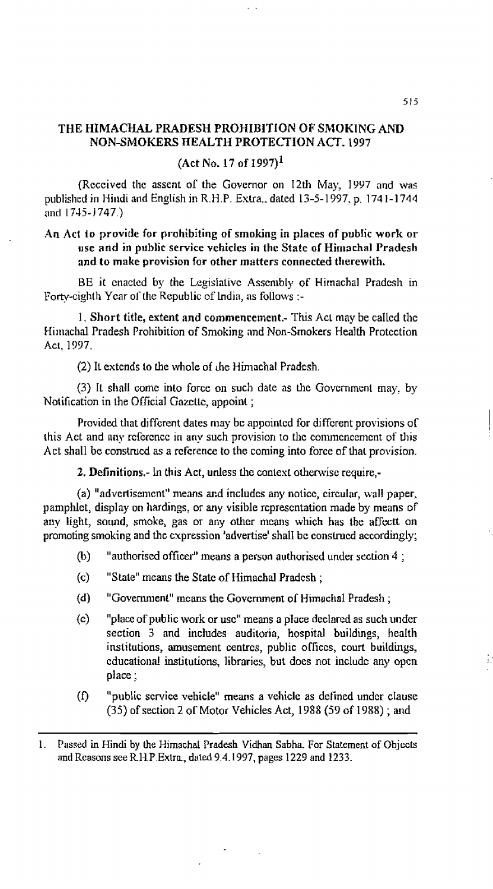#### **THE HIMACW PRADESH PROHIBITION** *OF* **SICIOKING** *AND*  **NON-SMOKERS HEALTH PROTECHOM ACT. 1997**

**(Act No. 17 of 1997)~** 

(Rcccived **thc assent** of **the** Governor on 12th **May,** 1997 **and wils publislied in** Hindi and **English in** R.H.P. **Exlra..** dared 13-5-1997. **p. 1741-1744 and 1 745- 1** 747.)

### An Act to provide for prohibiting of smoking in places of public work or **ILSE and in public service vehicles in the State of Himachal Pradesh and to make provision for other matters connected therewith.**

BE **it** cnacted by **the Lgislativc Asscnlbly of Hitnachal** Pradesh in Fortycighth **Year oT rl~e** Republic of India, **as follows** :-

I. **Short title, extent and commencement.-** Ths **Act niay** he caIlcd **tl~e Himachal Pradesh Prohibition of Smoking and Non-Smokers Health Protection Act. 1937.** 

(2) It **extcnds lo** he whole **of** che Himachat Prndcsh.

**(3)** It sllall come into force **on such** date **as** the Govcmment **may, by**  Notification in the Official **Gozctic, appoint** ;

Provided that **different dates may** bc **appointcd for** diffcrent provisions or **this Act and any reference in any such provision to the commencement of this Act shall** be construed **as a** reference to the **conling** into force of thal **provision.** 

**2. Definitions.-** In **this Act, unless** the conlest otherwise **require,-** 

**(a) "advcrlisemcnt"** means **md includcs any** nolicc, **circdar, wall paper,**  pamphlet, **dispIay** on hardings, or **any** visible rcprescntation made by **means** of **any light, sound, smoke, gas** or **any** other **mcans which has the affectt on**  promoting **smoking** and the **expression 'ndvertise'** shall **bc conshcd accordingly;** 

- **(b)** "authorised **officcr"** means a **person authorised under section 4** ;
- **(c) "Stale"** means **the State of** Himachd **Pradcsh** ;
- **(d)** "Government" means the Government of Himachal Pradesh ;
- (c) **"place** of **public work** *or* **usc"** means o **place** declared **as such** under section **3** and includes **auditoria, hospital buildings,** heaIth institutions, amusement centres, public offices, court buildings, cducational **institutions,** libraries, but does not includc **any opcn place** ;
- **(f) "public** scrvicc **vehicle" means a vehicle as** dcfincd **undcr clause (35)** of section **2 or** Motor **Vehicles Act, 1388 (53 of 1988)** ; **and**
- 1. **Passed in** Hindi **by** (he Hirnachal Pradesh Vidhan **Sabha.** For **Statement of** Ohjccts **and** Rcasons see R1-1.P.Exlm, **dsled 9.4.1997, pages 1229 and 1233.**

E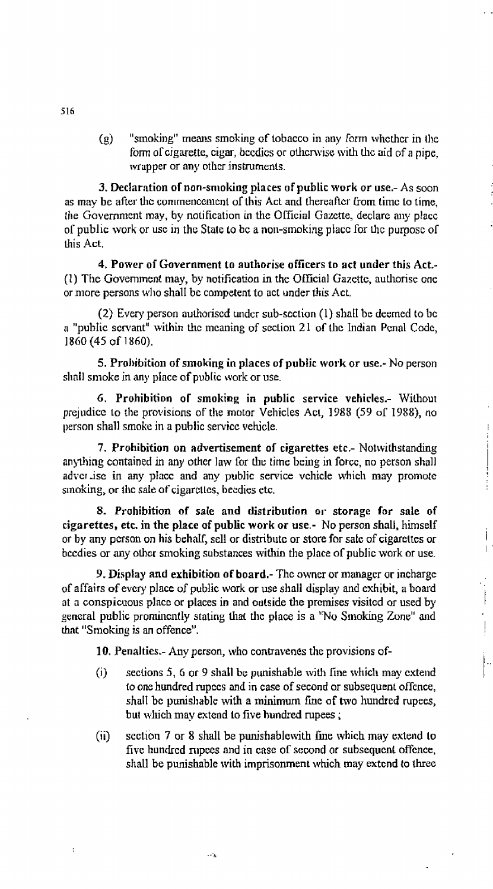**(g)** "smoking" means **smoking of** tobacco in **any** ram lvhcthcr in ille form of **cigarette**, **cigar**, **becdies** or **otherwise** with the aid of a pipe. **wrapper** or **any** othcr **instrumenis.** 

**3, DecIaration of non-snloking places of public work or use.- As** soon **as may be** after thc conirnencenicnt of this Act **and thereafter Gom** timc to time, llle Government **may, by** notification in tIic Official Gaxcrte, **declarc ally placc or** public **work** or use in the **State** to *bc* a non-smoking **placc** for chc purposc or this **Act.** 

**4. Power of Government to authorise officers to act under this Act.-**  (1) Tl~c Government **may, by notification in the Qfficinl Gazette,** aulliorise one or **mare** persons wlio shall **bc** competent to **act** under this **Act.** 

(2) Every **person auhoriscd** urldcr **sub-scction** (1) shalI bc **deemed to** bc a "public servant" within the meaning of section 21 of the Indian Penal Code, I860 **(45** of **1860).** 

**5. Prolbibilion of smoking in places of public work or use.- No** person **sl~ail smoke** in **any place** of **public** work **or** use.

**G. Prohibition of smoking in public service vehicles.- WiLhout**  prejudice **to the provisions** of the **mom** Vehicles **Acl, 1385 (59 01** 1988), no person **shall smokc** in **a public** servicc vehicle.

**7. Prohibition on advertisement of cigarettes etc.- Notwithstanding** anything contained in any other law for the time being in force, no person shall **advcr** .ise **in any pIacc and any public** senrice **vchicle rvhich may promote**  smoking, or the sale of cigarctles, becdies etc.

**8. Prohibition of sale and distribution 01. storage for sale of cigarettes, etc. in the place of public work** *or* **use.- No person shall, himself**  or **by any** pmson **on his behdf, sell** or distribute or store for **sak** of cigarettes *or*  bccdies or **any ohcr smoking substances with** the **place** of public **work** or **use.** 

j  $\mathbf{I}$ 

 $\begin{array}{c} \begin{array}{c} \rule{0pt}{14pt} \rule{0pt}{2.5pt} \rule{0pt}{2.5pt} \rule{0pt}{2.5pt} \rule{0pt}{2.5pt} \rule{0pt}{2.5pt} \rule{0pt}{2.5pt} \rule{0pt}{2.5pt} \rule{0pt}{2.5pt} \rule{0pt}{2.5pt} \rule{0pt}{2.5pt} \rule{0pt}{2.5pt} \rule{0pt}{2.5pt} \rule{0pt}{2.5pt} \rule{0pt}{2.5pt} \rule{0pt}{2.5pt} \rule{0pt}{2.5pt} \rule{0pt}{2.5pt} \rule{0pt}{2.5$ Ļ,  $\frac{1}{2}$ 

**9. Display and exhibition of board.-** The **owner** or manager **or inchargc**  of affairs **of evcry place** of **public work** or use shall **display and** cxhibit, **a** board at a conspicuous **place** or **places in and outside the prcmises visitcd** or used **by general public** prominently **stating** thai the place is a **'Wo Smoking** Zone" **and that** "Smoking **is an offence".** 

**10. Penalties.- Any person,** who conbavenes the **provisions** of-

 $\sim$   $\lambda$ 

- (i) sections 5, 6 or 9 shall be punishable with fine which may extend to **one hundred** mpccs and **in case** of **second** or subsequent offcnce, **shall** be **punishable** with a **minimum** fme **of** two **hundred** rupees, **but wlich may extend to five hundred** rupees ;
- **(ii)** section 7 or **8** shall be punishablewith he **which may extend lo**  five hundred rupees and in case of second or subsequent offence, **shall be** punishable **wilh** imprisonment **which may extcnd to three**

ċ